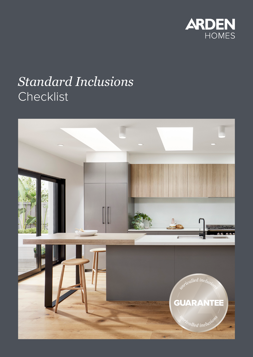

# *Standard Inclusions* Checklist

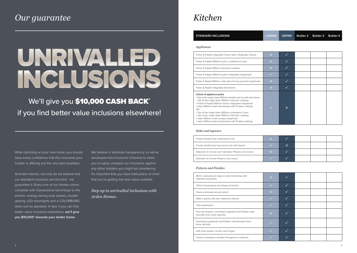| <b>STANDARD INCLUSIONS</b>                                                                                                                                                                                                                                                                                                                                                                                                                                                          | <b>LUMINA</b>             | <b>ASPIRE</b> | <b>Builder 2</b> | <b>Builder 3</b> | <b>Builder 4</b> |
|-------------------------------------------------------------------------------------------------------------------------------------------------------------------------------------------------------------------------------------------------------------------------------------------------------------------------------------------------------------------------------------------------------------------------------------------------------------------------------------|---------------------------|---------------|------------------|------------------|------------------|
| Appliances                                                                                                                                                                                                                                                                                                                                                                                                                                                                          |                           |               |                  |                  |                  |
| Fisher & Paykel integrated French door refrigerator freezer                                                                                                                                                                                                                                                                                                                                                                                                                         | $\pmb{\times}$            | $\checkmark$  |                  |                  |                  |
| Fisher & Paykel 900mm built-in underbench oven                                                                                                                                                                                                                                                                                                                                                                                                                                      | $\boldsymbol{\mathsf{x}}$ | $\checkmark$  |                  |                  |                  |
| Fisher & Paykel 900mm induction cooktop                                                                                                                                                                                                                                                                                                                                                                                                                                             | $\pmb{\times}$            | $\checkmark$  |                  |                  |                  |
| Fisher & Paykel 900mm built-in integrated rangehood                                                                                                                                                                                                                                                                                                                                                                                                                                 |                           | $\checkmark$  |                  |                  |                  |
| Fisher & Paykel 900mm wide wall chimney pyramid rangehood                                                                                                                                                                                                                                                                                                                                                                                                                           | $\boldsymbol{\mathsf{x}}$ | $\checkmark$  |                  |                  |                  |
| Fisher & Paykel integrated dishwasher                                                                                                                                                                                                                                                                                                                                                                                                                                               | $\overline{\mathsf{x}}$   | $\checkmark$  |                  |                  |                  |
| Choice of appliance packs<br>. Top of the range Haier 600mm double oven to wall oven tower<br>• Top of the range Haier 900mm induction cooktop<br>· Fisher & Paykel 900mm built-in integrated rangehood<br>• Haier 600mm black dishwasher with 15 place settings<br><b>OR</b><br>• Top of the range Haier 900mm underbench oven<br>• Top of the range Haier 900mm induction cooktop<br>• Haier 900mm wide canopy rangehood<br>• Haier 600mm black dishwasher with 15 place settings |                           | $\mathsf{x}$  |                  |                  |                  |

| 40mm Caesarstone edge to island benchtop with<br>waterfall end panels                  |  |
|----------------------------------------------------------------------------------------|--|
| 20mm Caesarstone benchtops to kitchen                                                  |  |
| Feature laminate servery bench                                                         |  |
| Walk-in pantry with four melamine shelves                                              |  |
| Tiled splashback                                                                       |  |
| Four pot drawers, overhead cupboards and Polytec matt<br>laminate finish base cabinets |  |
| Overhead cupboards and Polytec matt laminate finish<br>base cabinets                   |  |
| Soft close drawer runners and hinges                                                   |  |
|                                                                                        |  |

|                         | MINA ASPIRE    | Builder 2 Builder 3 Builder 4 |  |
|-------------------------|----------------|-------------------------------|--|
|                         |                |                               |  |
| $\pmb{\times}$          |                |                               |  |
| $\pmb{\times}$          |                |                               |  |
| $\overline{\mathsf{x}}$ | $\checkmark$   |                               |  |
|                         | $\checkmark$   |                               |  |
| $\pmb{\times}$          |                |                               |  |
| $\bar{\mathsf{x}}$      |                |                               |  |
|                         | $\pmb{\times}$ |                               |  |

| X |                           |  |  |
|---|---------------------------|--|--|
|   | $\boldsymbol{\mathsf{x}}$ |  |  |
| X |                           |  |  |
|   |                           |  |  |

| $\overline{\mathsf{x}}$ |              |  |  |
|-------------------------|--------------|--|--|
|                         | $\checkmark$ |  |  |
| $\overline{\mathsf{x}}$ | $\checkmark$ |  |  |
|                         | $\checkmark$ |  |  |
|                         | $\sqrt{}$    |  |  |
| $\overline{\mathsf{x}}$ |              |  |  |
|                         |              |  |  |
|                         | $\checkmark$ |  |  |
|                         |              |  |  |

#### *Sinks and tapware*

Franke double bowl undermount sink Franke double bowl top-mount sink with drainer Selection of chrome and matt black Phoenix sink mixers Selection of chrome Phoenix sink mixers

#### *Fixtures and Finishes*

We believe in absolute transparency, so we've developed this Inclusions Checklist to allow you to easily compare our inclusions against any other builders you might be considering. It's important that you have total peace of mind that you're getting the best value possible.

### We'll give you \$10,000 CASH BACK\* if you find better value inclusions elsewhere!

Choice of designer handles throughout to cabinets

### *Our guarantee Kitchen*

# UNRIVALLED INCLUSIONS

When deciding on your new home, you should have every confidence that the inclusions your builder is offering are the very best available.

At Arden Homes, not only do we believe that our standard inclusions are the best - we guarantee it. Every one of our homes comes complete with Caesarstone benchtops to the kitchen, energy saving solar panels, double glazing, LED downlights and a COLORBOND steel roof as standard. In fact, if you can find better value inclusions elsewhere, **we'll give you \$10,000\* towards your Arden home.**

*Step up to unrivalled inclusions with Arden Homes.*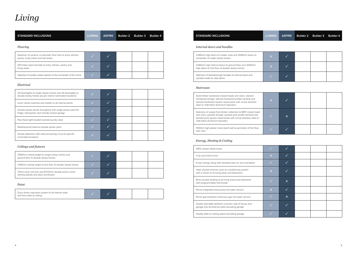| <b>STANDARD INCLUSIONS</b>                                                                             | <b>LUMINA</b> | <b>ASPIRE</b> | <b>Builder 2</b> | <b>Builder 3</b> | <b>Builder 4</b> |
|--------------------------------------------------------------------------------------------------------|---------------|---------------|------------------|------------------|------------------|
| Flooring                                                                                               |               |               |                  |                  |                  |
| Selection of ceramic or porcelain floor tiles to entry, kitchen,<br>pantry, living zones and wet areas |               |               |                  |                  |                  |
| OR timber-look laminate to entry, kitchen, pantry and<br>living areas                                  |               |               |                  |                  |                  |
| Selection of quality carpet options to the remainder of the home                                       |               |               |                  |                  |                  |

#### *Electrical*

| 20 downlights to single storey homes and 24 downlights to<br>double storey homes (as per clients nominated locations) |  |  |  |
|-----------------------------------------------------------------------------------------------------------------------|--|--|--|
| Iconic series switches and outlets to all internal points                                                             |  |  |  |
| Double power points throughout with single power point for<br>fridge, dishwasher and remote-control garage            |  |  |  |
| Para flood light located outside laundry door                                                                         |  |  |  |
| Weatherproof external double power point                                                                              |  |  |  |
| Smoke detectors with interconnecting circuit at specific<br>nominated locations                                       |  |  |  |

### **STANDARD INCLUSIONS** *Internal doors and handles* 2340mm high doors to master suite and 2040mm doors to  $\begin{array}{ccc} \begin{array}{ccc} \bullet \end{array} & \begin{array}{ccc} \bullet \end{array} & \begin{array}{ccc} \bullet \end{array} & \begin{array}{ccc} \bullet \end{array} & \begin{array}{ccc} \bullet \end{array} & \begin{array}{ccc} \bullet \end{array} & \begin{array}{ccc} \bullet \end{array} & \begin{array}{ccc} \bullet \end{array} & \begin{array}{ccc} \bullet \end{array} & \begin{array}{ccc} \bullet \end{array} & \begin{array}{ccc} \bullet$ 2340mm high internal doors to ground floor and 2040mm high doors to first floor of double storey homes Selection of Gainsborough handles to internal doors and cylinder knobs to robe doors

| Solid timber hardwood closed treads and risers, stained<br>hardwood stringer, stained hardwood profile handrail and<br>stained hardwood square newel posts with round stainless<br>steel or matt black aluminium balusters          | $\overline{\mathsf{x}}$ |  |
|-------------------------------------------------------------------------------------------------------------------------------------------------------------------------------------------------------------------------------------|-------------------------|--|
| Selection of carpet from Arden collection to MDF closed tread<br>and risers, painted stringer, painted pine profile handrail and<br>painted pine square newel posts with round stainless steel or<br>matt black aluminium balusters |                         |  |
| 1100mm high plaster lined dwarf wall to perimeter of first floor<br>stair void                                                                                                                                                      |                         |  |

### *Ceilings and fixtures*

| 2590mm ceiling height to single storey homes and<br>ground floor to double storey homes    |  |  |  |
|--------------------------------------------------------------------------------------------|--|--|--|
| 2440mm ceiling height to first floor of double storey homes                                |  |  |  |
| 75mm cove cornices and 67x12mm double pencil round<br>skirting boards and door architraves |  |  |  |

#### *Paint*

| Dulux three coat paint system to all internal walls<br>and two coats to ceiling |  |  |  |  |  |
|---------------------------------------------------------------------------------|--|--|--|--|--|
|---------------------------------------------------------------------------------|--|--|--|--|--|

### *Staircases*

| $\boldsymbol{\mathsf{x}}$ |                       |  |  |
|---------------------------|-----------------------|--|--|
|                           | $\mathsf{\mathsf{x}}$ |  |  |
|                           |                       |  |  |

|                         | $\checkmark$            |  |  |
|-------------------------|-------------------------|--|--|
| $\overline{\mathsf{x}}$ | $\overline{\checkmark}$ |  |  |
|                         | $\checkmark$            |  |  |
| $\overline{\mathsf{x}}$ | $\checkmark$            |  |  |
|                         | $\pmb{\times}$          |  |  |
| $\overline{\mathsf{x}}$ | $\checkmark$            |  |  |
|                         | $\pmb{\times}$          |  |  |
|                         |                         |  |  |
|                         |                         |  |  |

### *Energy, Heating & Cooling*

| 100% carbon offset home                                                                               |             |   |
|-------------------------------------------------------------------------------------------------------|-------------|---|
| Fully electrified home                                                                                |             |   |
| 6-star energy rating with standard plan on any orientation                                            |             |   |
| Haier ducted reverse cycle air-conditioning system<br>with 2 zones to all living areas and bedrooms   |             |   |
| Brivis ducted heating to all living areas and bedrooms<br>with programmable thermostat                |             | x |
| Rinnai integrated heat pump hot water service                                                         | $\mathbf x$ |   |
| Rinnai gas boosted continuous gas hot water service                                                   |             | x |
| Quality wall batts between common wall of house and<br>garage and all external walls excluding garage |             |   |
| Quality batts to ceiling space excluding garage                                                       |             |   |

| <b>ANIN</b>             | <b>ASPIRE</b> | Builder 2 Builder 3 Builder 4 |  |
|-------------------------|---------------|-------------------------------|--|
|                         |               |                               |  |
| $\overline{\mathsf{x}}$ |               |                               |  |
| $\overline{\mathsf{x}}$ |               |                               |  |
|                         |               |                               |  |

# *Living*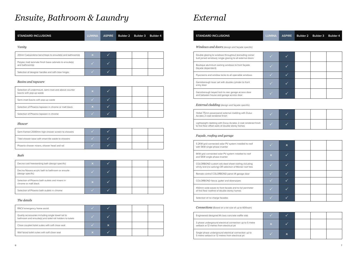| <b>STANDARD INCLUSIONS</b>                                                  | <b>LUMINA</b> | <b>ASPIRE</b>            | <b>Builder 2</b> | <b>Builder 3</b> | <b>Builder 4</b> |
|-----------------------------------------------------------------------------|---------------|--------------------------|------------------|------------------|------------------|
| Vanity                                                                      |               |                          |                  |                  |                  |
| 20mm Caesarstone benchtops to ensuite(s) and bathroom(s)                    |               |                          |                  |                  |                  |
| Polytec matt laminate finish base cabinets to ensuite(s)<br>and bathroom(s) |               | $\overline{\phantom{a}}$ |                  |                  |                  |
| Selection of designer handles and soft close hinges                         |               |                          |                  |                  |                  |

### *Basins and tapware*

| Selection of undermount, semi-inset and above counter<br>basins with pop-up waste | ا×ا |  |  |
|-----------------------------------------------------------------------------------|-----|--|--|
| Semi-inset basins with pop-up waste                                               |     |  |  |
| Selection of Phoenix tapware in chrome or matt black                              |     |  |  |
| Selection of Phoenix tapware in chrome                                            |     |  |  |

#### *Shower*

| Semi-framed 2000mm high shower screen to showers   |  |  |
|----------------------------------------------------|--|--|
| Tiled shower base with smart tile waste to showers |  |  |
| Phoenix shower mixers, shower head and rail        |  |  |

#### *Bath*

| Decina cool freestanding bath (design specific)                         | $\boldsymbol{\mathsf{x}}$ |  |  |
|-------------------------------------------------------------------------|---------------------------|--|--|
| Decina Novara acrylic bath to bathroom or ensuite<br>(design specific)  |                           |  |  |
| Selection of Phoenix bath outlets and mixers in<br>chrome or matt black | $\mathbf x$               |  |  |
| Selection of Phoenix bath outlets in chrome                             |                           |  |  |

### *The details*

| 5.2KW grid connected solar PV system installed to roof<br>with 5KW single phase inverter                         |  |
|------------------------------------------------------------------------------------------------------------------|--|
| 6KW grid connected solar PV system installed to roof<br>and 5KW single phase inverter                            |  |
| COLORBOND custom orb steel sheet roofing including<br>whirly bird (no sarking) OR selection of Monier roof tiles |  |
| Remote control COLORBOND panel lift garage door                                                                  |  |
| COLORBOND fascia, gutter and downpipes                                                                           |  |
| 450mm wide eaves to front facade and to full perimeter<br>of first floor roofline of double storey homes         |  |
| Selection of no charge facades                                                                                   |  |
|                                                                                                                  |  |

| RACV emergency home assist                                                                                       |   |   |  |  |
|------------------------------------------------------------------------------------------------------------------|---|---|--|--|
| Quality accessories including single towel rail to<br>bathroom and ensuite(s) and toilet roll holders to toilets |   |   |  |  |
| Close coupled toilet suites with soft close seat                                                                 |   | x |  |  |
| Wall faced toilet suites with soft close seat                                                                    | v |   |  |  |

| <b>STANDARD INCLUSIONS</b>                                                                                           | <b>LUMINA</b> | <b>ASPIRE</b> | <b>Builder 2</b> | <b>Builder 3</b> | <b>Builder 4</b> |
|----------------------------------------------------------------------------------------------------------------------|---------------|---------------|------------------|------------------|------------------|
| Windows and doors (design and façade specific)                                                                       |               |               |                  |                  |                  |
| Double glazing to windows throughout (excluding corner<br>butt joined windows), single glazing to all external doors |               |               |                  |                  |                  |
| Boutique aluminium awning windows to front façade<br>(façade dependent)                                              |               |               |                  |                  |                  |
| Flyscreens and window locks to all openable windows                                                                  |               |               |                  |                  |                  |
| Gainsborough lever set with double cylinder to front<br>entry door                                                   |               |               |                  |                  |                  |
| Gainsborough keyed lock to rear garage access door<br>and between house and garage access door                       |               |               |                  |                  |                  |
| <b>External cladding</b> (design and façade specific)                                                                |               |               |                  |                  |                  |

| Hebel 75mm powerpanel external cladding with Dulux<br>Acratex 2 coat rendered finish |  |
|--------------------------------------------------------------------------------------|--|
|                                                                                      |  |

Lightweight cladding with Dulux Acratex 2 coat rendered finish to first floor offset walls of double storey homes

#### *Façade, roofing and garage*

#### *Connections* (Based on a lot size of up to 600sqm)

| Engineered designed M class concrete waffle slab |  |  |
|--------------------------------------------------|--|--|
|--------------------------------------------------|--|--|

3 phase underground electrical connection up to 5 metre setback or 12 metres from electrical pit

Single phase underground electrical connection up to 5 metre setback or 12 metres from electrical pit

|                         | $\pmb{\times}$ |  |  |
|-------------------------|----------------|--|--|
| $\overline{\mathsf{x}}$ |                |  |  |
|                         |                |  |  |
|                         |                |  |  |
|                         |                |  |  |
|                         |                |  |  |
|                         |                |  |  |

| $\overline{\mathsf{x}}$ |   |  |  |
|-------------------------|---|--|--|
|                         | × |  |  |

## *Ensuite, Bathroom & Laundry External*